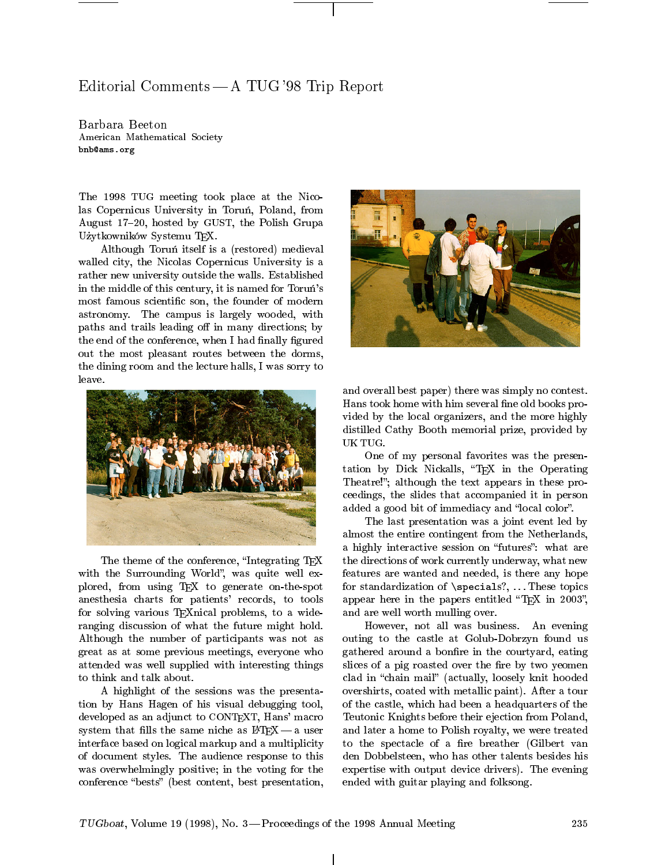## Editorial Comments A TUG '98 Trip Report

American Mathematical Society bnb@ams.org

The 1998 TUG meeting took place at the Nicolas Copernicus University in Toruń, Poland, from August 17-20, hosted by GUST, the Polish Grupa Użytkowników Systemu TFX.

Although Torun itself is a (restored) medieval walled city, the Nicolas Copernicus University is a rather new university outside the walls. Established in the middle of this century, it is named for Toruń's most famous scientific son, the founder of modern astronomy. The campus is largely wooded, with paths and trails leading off in many directions; by the end of the conference, when I had finally figured out the most pleasant routes between the dorms, the dining room and the lecture halls, I was sorry to leave.



The theme of the conference, "Integrating TFX with the Surrounding World", was quite well explored, from using TEX to generate on-the-spot anesthesia charts for patients' records, to tools for solving various TEXnical problems, to a wideranging discussion of what the future might hold. Although the number of participants was not as great as at some previous meetings, everyone who attended was well supplied with interesting things to think and talk about.

A highlight of the sessions was the presentation by Hans Hagen of his visual debugging tool, developed as an adjunct to CONT<sub>EXT</sub>, Hans' macro system that fills the same niche as  $\text{LATEX}$  a user interface based on logical markup and a multiplicity of document styles. The audience response to this was overwhelmingly positive; in the voting for the conference "bests" (best content, best presentation,



and overall best paper) there was simply no contest. Hans took home with him several fine old books provided by the local organizers, and the more highly distilled Cathy Booth memorial prize, provided by UK TUG.

One of my personal favorites was the presentation by Dick Nickalls, "TEX in the Operating Theatre!"; although the text appears in these proceedings, the slides that accompanied it in person added a good bit of immediacy and "local color".

The last presentation was a joint event led by almost the entire contingent from the Netherlands, a highly interactive session on "futures": what are the directions of work currently underway, what new features are wanted and needed, is there any hope for standardization of  $\operatorname{\mathsf{specials}}$ ?, ... These topics appear here in the papers entitled "T<sub>E</sub>X in 2003", and are well worth mulling over.

However, not all was business. An evening outing to the castle at Golub-Dobrzyn found us gathered around a bonfire in the courtyard, eating slices of a pig roasted over the fire by two yeomen clad in "chain mail" (actually, loosely knit hooded overshirts, coated with metallic paint). After a tour of the castle, which had been a headquarters of the Teutonic Knights before their ejection from Poland, and later a home to Polish royalty, we were treated to the spectacle of a fire breather (Gilbert van den Dobbelsteen, who has other talents besides his expertise with output device drivers). The evening ended with guitar playing and folksong.